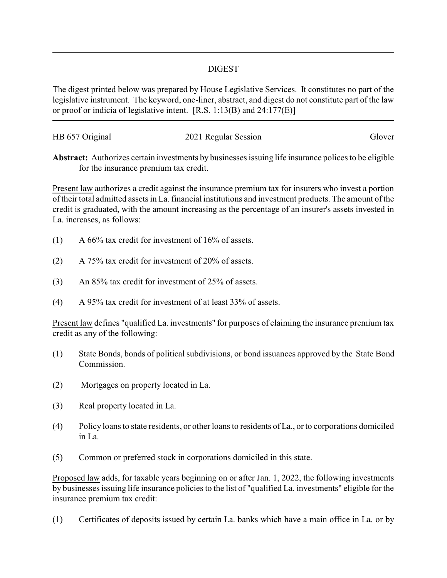## DIGEST

The digest printed below was prepared by House Legislative Services. It constitutes no part of the legislative instrument. The keyword, one-liner, abstract, and digest do not constitute part of the law or proof or indicia of legislative intent. [R.S. 1:13(B) and 24:177(E)]

| HB 657 Original | 2021 Regular Session | Glover |
|-----------------|----------------------|--------|
|                 |                      |        |

**Abstract:** Authorizes certain investments by businesses issuing life insurance polices to be eligible for the insurance premium tax credit.

Present law authorizes a credit against the insurance premium tax for insurers who invest a portion of their total admitted assets in La. financial institutions and investment products. The amount of the credit is graduated, with the amount increasing as the percentage of an insurer's assets invested in La. increases, as follows:

- (1) A 66% tax credit for investment of 16% of assets.
- (2) A 75% tax credit for investment of 20% of assets.
- (3) An 85% tax credit for investment of 25% of assets.
- (4) A 95% tax credit for investment of at least 33% of assets.

Present law defines "qualified La. investments" for purposes of claiming the insurance premium tax credit as any of the following:

- (1) State Bonds, bonds of political subdivisions, or bond issuances approved by the State Bond Commission.
- (2) Mortgages on property located in La.
- (3) Real property located in La.
- (4) Policy loans to state residents, or other loans to residents of La., or to corporations domiciled in La.
- (5) Common or preferred stock in corporations domiciled in this state.

Proposed law adds, for taxable years beginning on or after Jan. 1, 2022, the following investments by businesses issuing life insurance policies to the list of "qualified La. investments" eligible for the insurance premium tax credit:

(1) Certificates of deposits issued by certain La. banks which have a main office in La. or by